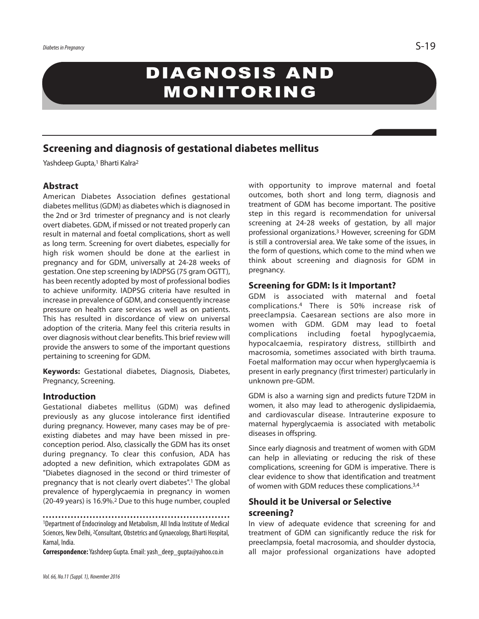# DIAGNOSIS AND MONITORING

# **Screening and diagnosis of gestational diabetes mellitus**

Yashdeep Gupta, <sup>1</sup> Bharti Kalra2

# **Abstract**

American Diabetes Association defines gestational diabetes mellitus(GDM) as diabetes which is diagnosed in the 2nd or 3rd trimester of pregnancy and is not clearly overt diabetes. GDM, if missed or not treated properly can result in maternal and foetal complications, short as well as long term. Screening for overt diabetes, especially for high risk women should be done at the earliest in pregnancy and for GDM, universally at 24-28 weeks of gestation. One step screening by IADPSG (75 gram OGTT), has been recently adopted by most of professional bodies to achieve uniformity. IADPSG criteria have resulted in increase in prevalence of GDM, and consequently increase pressure on health care services as well as on patients. This has resulted in discordance of view on universal adoption of the criteria. Many feel this criteria results in over diagnosis without clear benefits. This brief review will provide the answers to some of the important questions pertaining to screening for GDM.

**Keywords:** Gestational diabetes, Diagnosis, Diabetes, Pregnancy, Screening.

#### **Introduction**

Gestational diabetes mellitus (GDM) was defined previously as any glucose intolerance first identified during pregnancy. However, many cases may be of preexisting diabetes and may have been missed in preconception period. Also, classically the GDM has its onset during pregnancy. To clear this confusion, ADA has adopted a new definition, which extrapolates GDM as "Diabetes diagnosed in the second or third trimester of pregnancy that is not clearly overt diabetes". <sup>1</sup> The global prevalence of hyperglycaemia in pregnancy in women (20-49 years) is 16.9%. <sup>2</sup> Due to this huge number, coupled

**Correspondence:**Yashdeep Gupta.Email:yash\_deep\_gupta@yahoo.co.in

with opportunity to improve maternal and foetal outcomes, both short and long term, diagnosis and treatment of GDM has become important. The positive step in this regard is recommendation for universal screening at 24-28 weeks of gestation, by all major professional organizations. <sup>3</sup> However, screening for GDM is still a controversial area. We take some of the issues, in the form of questions, which come to the mind when we think about screening and diagnosis for GDM in pregnancy.

# **Screening for GDM: Is it Important?**

GDM is associated with maternal and foetal complications.4 There is 50% increase risk of preeclampsia. Caesarean sections are also more in women with GDM. GDM may lead to foetal complications including foetal hypoglycaemia, hypocalcaemia, respiratory distress, stillbirth and macrosomia, sometimes associated with birth trauma. Foetal malformation may occur when hyperglycaemia is present in early pregnancy (first trimester) particularly in unknown pre-GDM.

GDM is also a warning sign and predicts future T2DM in women, it also may lead to atherogenic dyslipidaemia, and cardiovascular disease. Intrauterine exposure to maternal hyperglycaemia is associated with metabolic diseases in offspring.

Since early diagnosis and treatment of women with GDM can help in alleviating or reducing the risk of these complications, screening for GDM is imperative. There is clear evidence to show that identification and treatment of women with GDM reduces these complications.<sup>3,4</sup>

# **Should it be Universal or Selective screening?**

In view of adequate evidence that screening for and treatment of GDM can significantly reduce the risk for preeclampsia, foetal macrosomia, and shoulder dystocia, all major professional organizations have adopted

<sup>1</sup>Department of Endocrinology and Metabolism, All India Institute of Medical Sciences, New Delhi, <sup>2</sup>Consultant, Obstetrics and Gynaecology, Bharti Hospital, Karnal, India.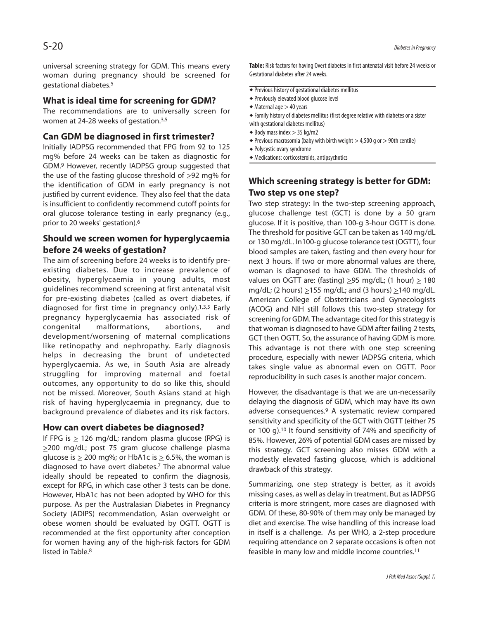universal screening strategy for GDM. This means every woman during pregnancy should be screened for gestational diabetes. 5

# **What is ideal time for screening for GDM?**

The recommendations are to universally screen for women at 24-28 weeks of gestation.<sup>3,5</sup>

# **Can GDM be diagnosed in first trimester?**

Initially IADPSG recommended that FPG from 92 to 125 mg% before 24 weeks can be taken as diagnostic for GDM. <sup>9</sup> However, recently IADPSG group suggested that the use of the fasting glucose threshold of >92 mg% for the identification of GDM in early pregnancy is not justified by current evidence. They also feel that the data is insufficient to confidently recommend cutoff points for oral glucose tolerance testing in early pregnancy (e.g., prior to 20 weeks' gestation). 6

# **Should we screen women for hyperglycaemia before 24 weeks of gestation?**

The aim of screening before 24 weeks is to identify preexisting diabetes. Due to increase prevalence of obesity, hyperglycaemia in young adults, most guidelines recommend screening at first antenatal visit for pre-existing diabetes (called as overt diabetes, if diagnosed for first time in pregnancy only). 1,3,5 Early pregnancy hyperglycaemia has associated risk of congenital malformations, abortions, and development/worsening of maternal complications like retinopathy and nephropathy. Early diagnosis helps in decreasing the brunt of undetected hyperglycaemia. As we, in South Asia are already struggling for improving maternal and foetal outcomes, any opportunity to do so like this, should not be missed. Moreover, South Asians stand at high risk of having hyperglycaemia in pregnancy, due to background prevalence of diabetes and its risk factors.

#### **How can overt diabetes be diagnosed?**

If FPG is  $\geq$  126 mg/dL; random plasma glucose (RPG) is >200 mg/dL; post 75 gram glucose challenge plasma glucose is  $\geq 200$  mg%; or HbA1c is  $\geq 6.5$ %, the woman is diagnosed to have overt diabetes. <sup>7</sup> The abnormal value ideally should be repeated to confirm the diagnosis, except for RPG, in which case other 3 tests can be done. However, HbA1c has not been adopted by WHO for this purpose. As per the Australasian Diabetes in Pregnancy Society (ADIPS) recommendation, Asian overweight or obese women should be evaluated by OGTT. OGTT is recommended at the first opportunity after conception for women having any of the high-risk factors for GDM listed in Table. 8

Table: Risk factors for having Overt diabetes in first antenatal visit before 24 weeks or Gestational diabetes after 24 weeks.

- $\overline{\bullet}$  Previous history of gestational diabetes mellitus
- ◆ Previously elevated blood glucose level
- $\triangleleft$  Maternal age  $>$  40 years
- $\bullet$  Family history of diabetes mellitus (first degree relative with diabetes or a sister with gestational diabetes mellitus)
- $\triangle$  Body mass index  $> 35$  kg/m2
- $\triangleq$  Previous macrosomia (baby with birth weight  $>$  4,500 g or  $>$  90th centile)
- Polycystic ovary syndrome
- Medications: corticosteroids,antipsychotics

# **Which screening strategy is better for GDM: Two step vs one step?**

Two step strategy: In the two-step screening approach, glucose challenge test (GCT) is done by a 50 gram glucose. If it is positive, than 100-g 3-hour OGTT is done. The threshold for positive GCT can be taken as 140 mg/dL or 130 mg/dL. In100-g glucose tolerance test (OGTT), four blood samples are taken, fasting and then every hour for next 3 hours. If two or more abnormal values are there, woman is diagnosed to have GDM. The thresholds of values on OGTT are: (fasting)  $>95$  mg/dL; (1 hour)  $>180$ mg/dL; (2 hours)  $\geq$ 155 mg/dL; and (3 hours)  $\geq$ 140 mg/dL. American College of Obstetricians and Gynecologists (ACOG) and NIH still follows this two-step strategy for screening for GDM. The advantage cited for this strategy is that woman is diagnosed to have GDM after failing 2 tests, GCT then OGTT. So, the assurance of having GDM is more. This advantage is not there with one step screening procedure, especially with newer IADPSG criteria, which takes single value as abnormal even on OGTT. Poor reproducibility in such cases is another major concern.

However, the disadvantage is that we are un-necessarily delaying the diagnosis of GDM, which may have its own adverse consequences. <sup>9</sup> A systematic review compared sensitivity and specificity of the GCT with OGTT (either 75 or 100 g).<sup>10</sup> It found sensitivity of 74% and specificity of 85%. However, 26% of potential GDM cases are missed by this strategy. GCT screening also misses GDM with a modestly elevated fasting glucose, which is additional drawback of this strategy.

Summarizing, one step strategy is better, as it avoids missing cases, as well as delay in treatment. But as IADPSG criteria is more stringent, more cases are diagnosed with GDM. Of these, 80-90% of them may only be managed by diet and exercise. The wise handling of this increase load in itself is a challenge. As per WHO, a 2-step procedure requiring attendance on 2 separate occasions is often not feasible in many low and middle income countries. 11